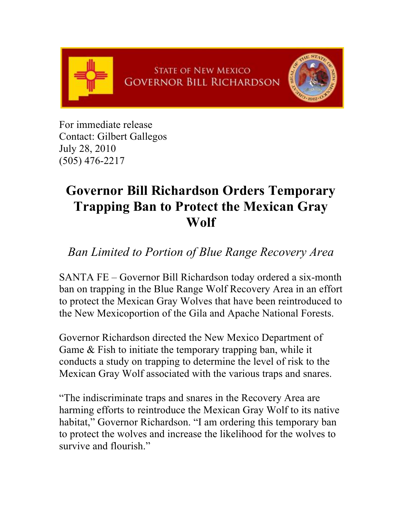

For immediate release Contact: Gilbert Gallegos July 28, 2010 (505) 476-2217

## **Governor Bill Richardson Orders Temporary Trapping Ban to Protect the Mexican Gray Wolf**

*Ban Limited to Portion of Blue Range Recovery Area*

SANTA FE – Governor Bill Richardson today ordered a six-month ban on trapping in the Blue Range Wolf Recovery Area in an effort to protect the Mexican Gray Wolves that have been reintroduced to the New Mexicoportion of the Gila and Apache National Forests.

Governor Richardson directed the New Mexico Department of Game & Fish to initiate the temporary trapping ban, while it conducts a study on trapping to determine the level of risk to the Mexican Gray Wolf associated with the various traps and snares.

"The indiscriminate traps and snares in the Recovery Area are harming efforts to reintroduce the Mexican Gray Wolf to its native habitat," Governor Richardson. "I am ordering this temporary ban to protect the wolves and increase the likelihood for the wolves to survive and flourish."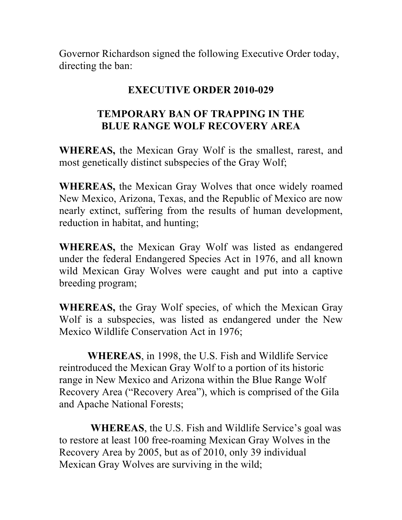Governor Richardson signed the following Executive Order today, directing the ban:

## **EXECUTIVE ORDER 2010-029**

## **TEMPORARY BAN OF TRAPPING IN THE BLUE RANGE WOLF RECOVERY AREA**

**WHEREAS,** the Mexican Gray Wolf is the smallest, rarest, and most genetically distinct subspecies of the Gray Wolf;

**WHEREAS,** the Mexican Gray Wolves that once widely roamed New Mexico, Arizona, Texas, and the Republic of Mexico are now nearly extinct, suffering from the results of human development, reduction in habitat, and hunting;

**WHEREAS,** the Mexican Gray Wolf was listed as endangered under the federal Endangered Species Act in 1976, and all known wild Mexican Gray Wolves were caught and put into a captive breeding program;

**WHEREAS,** the Gray Wolf species, of which the Mexican Gray Wolf is a subspecies, was listed as endangered under the New Mexico Wildlife Conservation Act in 1976;

 **WHEREAS**, in 1998, the U.S. Fish and Wildlife Service reintroduced the Mexican Gray Wolf to a portion of its historic range in New Mexico and Arizona within the Blue Range Wolf Recovery Area ("Recovery Area"), which is comprised of the Gila and Apache National Forests;

 **WHEREAS**, the U.S. Fish and Wildlife Service's goal was to restore at least 100 free-roaming Mexican Gray Wolves in the Recovery Area by 2005, but as of 2010, only 39 individual Mexican Gray Wolves are surviving in the wild;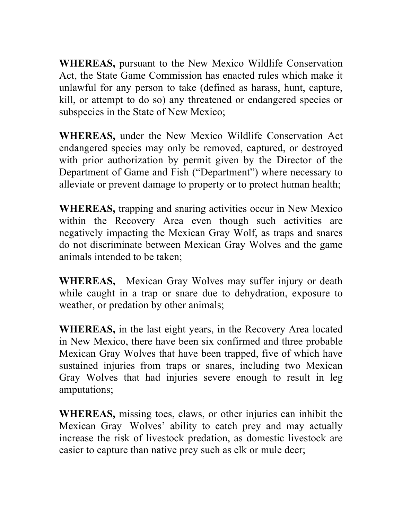**WHEREAS,** pursuant to the New Mexico Wildlife Conservation Act, the State Game Commission has enacted rules which make it unlawful for any person to take (defined as harass, hunt, capture, kill, or attempt to do so) any threatened or endangered species or subspecies in the State of New Mexico;

**WHEREAS,** under the New Mexico Wildlife Conservation Act endangered species may only be removed, captured, or destroyed with prior authorization by permit given by the Director of the Department of Game and Fish ("Department") where necessary to alleviate or prevent damage to property or to protect human health;

**WHEREAS,** trapping and snaring activities occur in New Mexico within the Recovery Area even though such activities are negatively impacting the Mexican Gray Wolf, as traps and snares do not discriminate between Mexican Gray Wolves and the game animals intended to be taken;

**WHEREAS,** Mexican Gray Wolves may suffer injury or death while caught in a trap or snare due to dehydration, exposure to weather, or predation by other animals;

**WHEREAS,** in the last eight years, in the Recovery Area located in New Mexico, there have been six confirmed and three probable Mexican Gray Wolves that have been trapped, five of which have sustained injuries from traps or snares, including two Mexican Gray Wolves that had injuries severe enough to result in leg amputations;

**WHEREAS,** missing toes, claws, or other injuries can inhibit the Mexican Gray Wolves' ability to catch prey and may actually increase the risk of livestock predation, as domestic livestock are easier to capture than native prey such as elk or mule deer;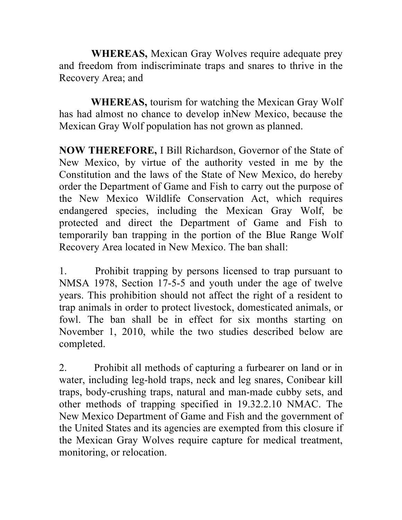**WHEREAS,** Mexican Gray Wolves require adequate prey and freedom from indiscriminate traps and snares to thrive in the Recovery Area; and

 **WHEREAS,** tourism for watching the Mexican Gray Wolf has had almost no chance to develop inNew Mexico, because the Mexican Gray Wolf population has not grown as planned.

**NOW THEREFORE,** I Bill Richardson, Governor of the State of New Mexico, by virtue of the authority vested in me by the Constitution and the laws of the State of New Mexico, do hereby order the Department of Game and Fish to carry out the purpose of the New Mexico Wildlife Conservation Act, which requires endangered species, including the Mexican Gray Wolf, be protected and direct the Department of Game and Fish to temporarily ban trapping in the portion of the Blue Range Wolf Recovery Area located in New Mexico. The ban shall:

1. Prohibit trapping by persons licensed to trap pursuant to NMSA 1978, Section 17-5-5 and youth under the age of twelve years. This prohibition should not affect the right of a resident to trap animals in order to protect livestock, domesticated animals, or fowl. The ban shall be in effect for six months starting on November 1, 2010, while the two studies described below are completed.

2. Prohibit all methods of capturing a furbearer on land or in water, including leg-hold traps, neck and leg snares, Conibear kill traps, body-crushing traps, natural and man-made cubby sets, and other methods of trapping specified in 19.32.2.10 NMAC. The New Mexico Department of Game and Fish and the government of the United States and its agencies are exempted from this closure if the Mexican Gray Wolves require capture for medical treatment, monitoring, or relocation.